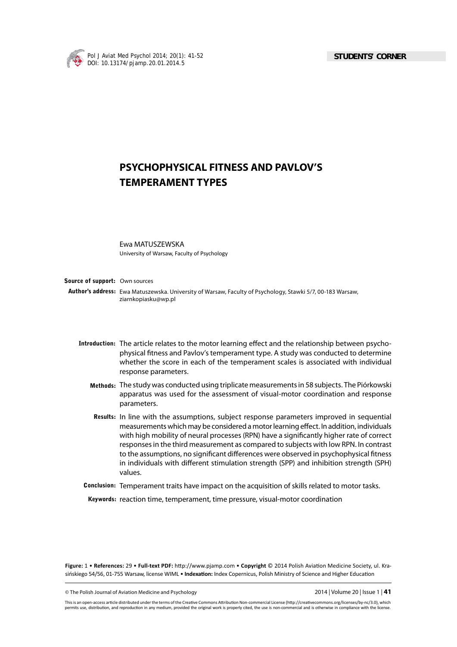

# **PSYCHOPHYSICAL FITNESS AND PAVLOV'S TEMPERAMENT TYPES**

Ewa MATUSZEWSKA University of Warsaw, Faculty of Psychology

**Source of support:** Own sources

Author's address: Ewa Matuszewska. University of Warsaw, Faculty of Psychology, Stawki 5/7, 00-183 Warsaw, ziarnkopiasku@wp.pl

- Introduction: The article relates to the motor learning effect and the relationship between psychophysical fitness and Pavlov's temperament type. A study was conducted to determine whether the score in each of the temperament scales is associated with individual response parameters.
	- **Methods:**  The study was conducted using triplicate measurements in 58 subjects. The Piórkowski apparatus was used for the assessment of visual-motor coordination and response parameters.
	- **Results:** In line with the assumptions, subject response parameters improved in sequential measurements which may be considered a motor learning effect. In addition, individuals with high mobility of neural processes (RPN) have a significantly higher rate of correct responses in the third measurement as compared to subjects with low RPN. In contrast to the assumptions, no significant differences were observed in psychophysical fitness in individuals with different stimulation strength (SPP) and inhibition strength (SPH) values.
- **Conclusion:** Temperament traits have impact on the acquisition of skills related to motor tasks.

**Keywords:** reaction time, temperament, time pressure, visual-motor coordination

Figure: 1 • References: 29 • Full-text PDF: http://www.pjamp.com • Copyright © 2014 Polish Aviation Medicine Society, ul. Krasińskiego 54/56, 01-755 Warsaw, license WIML · Indexation: Index Copernicus, Polish Ministry of Science and Higher Education

© The Polish Journal of Aviation Medicine and Psychology 2014 | Volume 20 | Issue 1 | **41**

This is an open-access article distributed under the terms of the Creative Commons Attribution Non-commercial License (http://creativecommons.org/licenses/by-nc/3.0), which permits use, distribution, and reproduction in any medium, provided the original work is properly cited, the use is non-commercial and is otherwise in compliance with the license.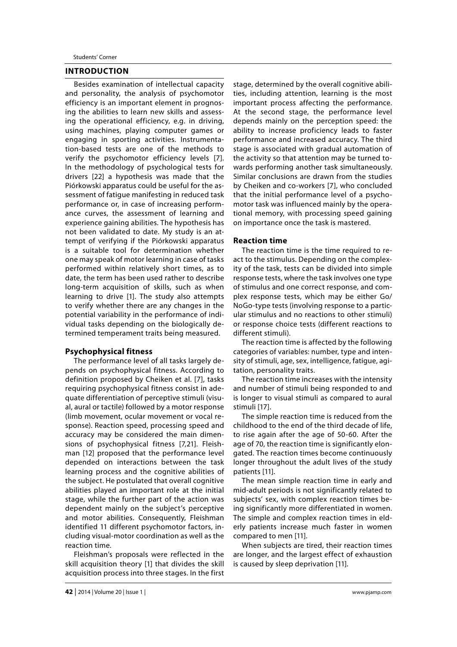## **INTRODUCTION**

Besides examination of intellectual capacity and personality, the analysis of psychomotor efficiency is an important element in prognosing the abilities to learn new skills and assessing the operational efficiency, e.g. in driving, using machines, playing computer games or engaging in sporting activities. Instrumentation-based tests are one of the methods to verify the psychomotor efficiency levels [7]. In the methodology of psychological tests for drivers [22] a hypothesis was made that the Piórkowski apparatus could be useful for the assessment of fatigue manifesting in reduced task performance or, in case of increasing performance curves, the assessment of learning and experience gaining abilities. The hypothesis has not been validated to date. My study is an attempt of verifying if the Piórkowski apparatus is a suitable tool for determination whether one may speak of motor learning in case of tasks performed within relatively short times, as to date, the term has been used rather to describe long-term acquisition of skills, such as when learning to drive [1]. The study also attempts to verify whether there are any changes in the potential variability in the performance of individual tasks depending on the biologically determined temperament traits being measured.

## **Psychophysical fitness**

The performance level of all tasks largely depends on psychophysical fitness. According to definition proposed by Cheiken et al. [7], tasks requiring psychophysical fitness consist in adequate differentiation of perceptive stimuli (visual, aural or tactile) followed by a motor response (limb movement, ocular movement or vocal response). Reaction speed, processing speed and accuracy may be considered the main dimensions of psychophysical fitness [7,21]. Fleishman [12] proposed that the performance level depended on interactions between the task learning process and the cognitive abilities of the subject. He postulated that overall cognitive abilities played an important role at the initial stage, while the further part of the action was dependent mainly on the subject's perceptive and motor abilities. Consequently, Fleishman identified 11 different psychomotor factors, including visual-motor coordination as well as the reaction time.

Fleishman's proposals were reflected in the skill acquisition theory [1] that divides the skill acquisition process into three stages. In the first

stage, determined by the overall cognitive abilities, including attention, learning is the most important process affecting the performance. At the second stage, the performance level depends mainly on the perception speed: the ability to increase proficiency leads to faster performance and increased accuracy. The third stage is associated with gradual automation of the activity so that attention may be turned towards performing another task simultaneously. Similar conclusions are drawn from the studies by Cheiken and co-workers [7], who concluded that the initial performance level of a psychomotor task was influenced mainly by the operational memory, with processing speed gaining on importance once the task is mastered.

#### **Reaction time**

The reaction time is the time required to react to the stimulus. Depending on the complexity of the task, tests can be divided into simple response tests, where the task involves one type of stimulus and one correct response, and complex response tests, which may be either Go/ NoGo-type tests (involving response to a particular stimulus and no reactions to other stimuli) or response choice tests (different reactions to different stimuli).

The reaction time is affected by the following categories of variables: number, type and intensity of stimuli, age, sex, intelligence, fatigue, agitation, personality traits.

The reaction time increases with the intensity and number of stimuli being responded to and is longer to visual stimuli as compared to aural stimuli [17].

The simple reaction time is reduced from the childhood to the end of the third decade of life, to rise again after the age of 50-60. After the age of 70, the reaction time is significantly elongated. The reaction times become continuously longer throughout the adult lives of the study patients [11].

The mean simple reaction time in early and mid-adult periods is not significantly related to subjects' sex, with complex reaction times being significantly more differentiated in women. The simple and complex reaction times in elderly patients increase much faster in women compared to men [11].

When subjects are tired, their reaction times are longer, and the largest effect of exhaustion is caused by sleep deprivation [11].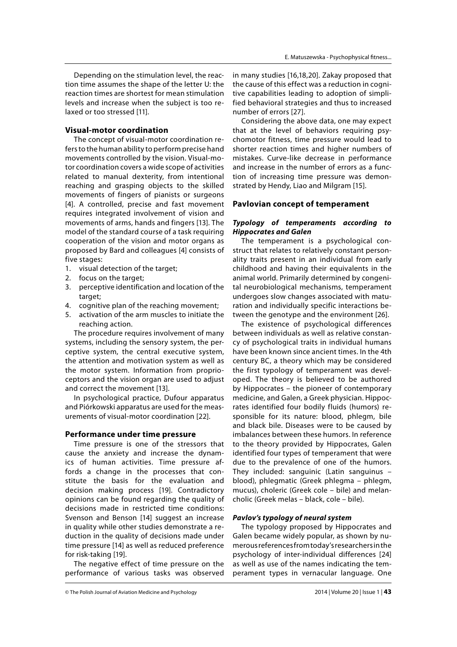Depending on the stimulation level, the reaction time assumes the shape of the letter U: the reaction times are shortest for mean stimulation levels and increase when the subject is too relaxed or too stressed [11].

# **Visual-motor coordination**

The concept of visual-motor coordination refers to the human ability to perform precise hand movements controlled by the vision. Visual-motor coordination covers a wide scope of activities related to manual dexterity, from intentional reaching and grasping objects to the skilled movements of fingers of pianists or surgeons [4]. A controlled, precise and fast movement requires integrated involvement of vision and movements of arms, hands and fingers [13]. The model of the standard course of a task requiring cooperation of the vision and motor organs as proposed by Bard and colleagues [4] consists of five stages:

- 1. visual detection of the target;
- 2. focus on the target;
- 3. perceptive identification and location of the target;
- 4. cognitive plan of the reaching movement;
- 5. activation of the arm muscles to initiate the reaching action.

The procedure requires involvement of many systems, including the sensory system, the perceptive system, the central executive system, the attention and motivation system as well as the motor system. Information from proprioceptors and the vision organ are used to adjust and correct the movement [13].

In psychological practice, Dufour apparatus and Piórkowski apparatus are used for the measurements of visual-motor coordination [22].

#### **Performance under time pressure**

Time pressure is one of the stressors that cause the anxiety and increase the dynamics of human activities. Time pressure affords a change in the processes that constitute the basis for the evaluation and decision making process [19]. Contradictory opinions can be found regarding the quality of decisions made in restricted time conditions: Svenson and Benson [14] suggest an increase in quality while other studies demonstrate a reduction in the quality of decisions made under time pressure [14] as well as reduced preference for risk-taking [19].

The negative effect of time pressure on the performance of various tasks was observed

in many studies [16,18,20]. Zakay proposed that the cause of this effect was a reduction in cognitive capabilities leading to adoption of simplified behavioral strategies and thus to increased number of errors [27].

Considering the above data, one may expect that at the level of behaviors requiring psychomotor fitness, time pressure would lead to shorter reaction times and higher numbers of mistakes. Curve-like decrease in performance and increase in the number of errors as a function of increasing time pressure was demonstrated by Hendy, Liao and Milgram [15].

#### **Pavlovian concept of temperament**

# *Typology of temperaments according to Hippocrates and Galen*

The temperament is a psychological construct that relates to relatively constant personality traits present in an individual from early childhood and having their equivalents in the animal world. Primarily determined by congenital neurobiological mechanisms, temperament undergoes slow changes associated with maturation and individually specific interactions between the genotype and the environment [26].

The existence of psychological differences between individuals as well as relative constancy of psychological traits in individual humans have been known since ancient times. In the 4th century BC, a theory which may be considered the first typology of temperament was developed. The theory is believed to be authored by Hippocrates – the pioneer of contemporary medicine, and Galen, a Greek physician. Hippocrates identified four bodily fluids (humors) responsible for its nature: blood, phlegm, bile and black bile. Diseases were to be caused by imbalances between these humors. In reference to the theory provided by Hippocrates, Galen identified four types of temperament that were due to the prevalence of one of the humors. They included: sanguinic (Latin sanguinus – blood), phlegmatic (Greek phlegma – phlegm, mucus), choleric (Greek cole – bile) and melancholic (Greek melas – black, cole – bile).

## *Pavlov's typology of neural system*

The typology proposed by Hippocrates and Galen became widely popular, as shown by numerous references from today's researchers in the psychology of inter-individual differences [24] as well as use of the names indicating the temperament types in vernacular language. One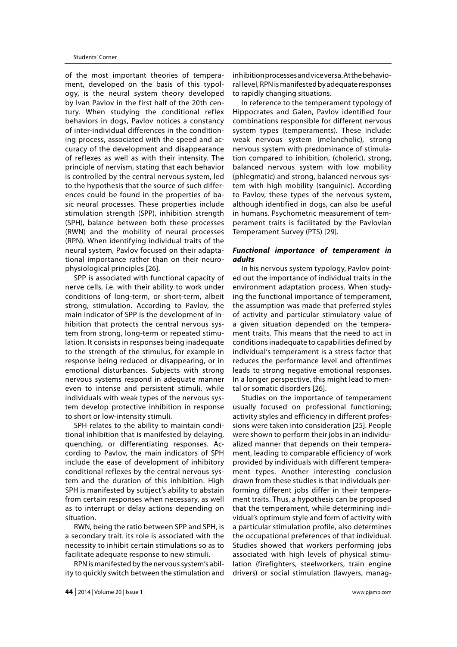of the most important theories of temperament, developed on the basis of this typology, is the neural system theory developed by Ivan Pavlov in the first half of the 20th century. When studying the conditional reflex behaviors in dogs, Pavlov notices a constancy of inter-individual differences in the conditioning process, associated with the speed and accuracy of the development and disappearance of reflexes as well as with their intensity. The principle of nervism, stating that each behavior is controlled by the central nervous system, led to the hypothesis that the source of such differences could be found in the properties of basic neural processes. These properties include stimulation strength (SPP), inhibition strength (SPH), balance between both these processes (RWN) and the mobility of neural processes (RPN). When identifying individual traits of the neural system, Pavlov focused on their adaptational importance rather than on their neurophysiological principles [26].

SPP is associated with functional capacity of nerve cells, i.e. with their ability to work under conditions of long-term, or short-term, albeit strong, stimulation. According to Pavlov, the main indicator of SPP is the development of inhibition that protects the central nervous system from strong, long-term or repeated stimulation. It consists in responses being inadequate to the strength of the stimulus, for example in response being reduced or disappearing, or in emotional disturbances. Subjects with strong nervous systems respond in adequate manner even to intense and persistent stimuli, while individuals with weak types of the nervous system develop protective inhibition in response to short or low-intensity stimuli.

SPH relates to the ability to maintain conditional inhibition that is manifested by delaying, quenching, or differentiating responses. According to Pavlov, the main indicators of SPH include the ease of development of inhibitory conditional reflexes by the central nervous system and the duration of this inhibition. High SPH is manifested by subject's ability to abstain from certain responses when necessary, as well as to interrupt or delay actions depending on situation.

RWN, being the ratio between SPP and SPH, is a secondary trait. its role is associated with the necessity to inhibit certain stimulations so as to facilitate adequate response to new stimuli.

RPN is manifested by the nervous system's ability to quickly switch between the stimulation and

inhibition processes and vice versa. At the behavioral level, RPN is manifested by adequate responses to rapidly changing situations.

In reference to the temperament typology of Hippocrates and Galen, Pavlov identified four combinations responsible for different nervous system types (temperaments). These include: weak nervous system (melancholic), strong nervous system with predominance of stimulation compared to inhibition, (choleric), strong, balanced nervous system with low mobility (phlegmatic) and strong, balanced nervous system with high mobility (sanguinic). According to Pavlov, these types of the nervous system, although identified in dogs, can also be useful in humans. Psychometric measurement of temperament traits is facilitated by the Pavlovian Temperament Survey (PTS) [29].

## *Functional importance of temperament in adults*

In his nervous system typology, Pavlov pointed out the importance of individual traits in the environment adaptation process. When studying the functional importance of temperament, the assumption was made that preferred styles of activity and particular stimulatory value of a given situation depended on the temperament traits. This means that the need to act in conditions inadequate to capabilities defined by individual's temperament is a stress factor that reduces the performance level and oftentimes leads to strong negative emotional responses. In a longer perspective, this might lead to mental or somatic disorders [26].

Studies on the importance of temperament usually focused on professional functioning; activity styles and efficiency in different professions were taken into consideration [25]. People were shown to perform their jobs in an individualized manner that depends on their temperament, leading to comparable efficiency of work provided by individuals with different temperament types. Another interesting conclusion drawn from these studies is that individuals performing different jobs differ in their temperament traits. Thus, a hypothesis can be proposed that the temperament, while determining individual's optimum style and form of activity with a particular stimulation profile, also determines the occupational preferences of that individual. Studies showed that workers performing jobs associated with high levels of physical stimulation (firefighters, steelworkers, train engine drivers) or social stimulation (lawyers, manag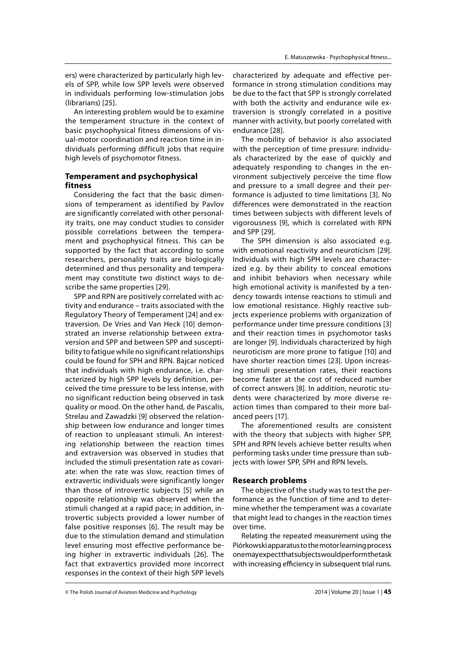ers) were characterized by particularly high levels of SPP, while low SPP levels were observed in individuals performing low-stimulation jobs (librarians) [25].

An interesting problem would be to examine the temperament structure in the context of basic psychophysical fitness dimensions of visual-motor coordination and reaction time in individuals performing difficult jobs that require high levels of psychomotor fitness.

# **Temperament and psychophysical fitness**

Considering the fact that the basic dimensions of temperament as identified by Pavlov are significantly correlated with other personality traits, one may conduct studies to consider possible correlations between the temperament and psychophysical fitness. This can be supported by the fact that according to some researchers, personality traits are biologically determined and thus personality and temperament may constitute two distinct ways to describe the same properties [29].

SPP and RPN are positively correlated with activity and endurance – traits associated with the Regulatory Theory of Temperament [24] and extraversion. De Vries and Van Heck [10] demonstrated an inverse relationship between extraversion and SPP and between SPP and susceptibility to fatigue while no significant relationships could be found for SPH and RPN. Bajcar noticed that individuals with high endurance, i.e. characterized by high SPP levels by definition, perceived the time pressure to be less intense, with no significant reduction being observed in task quality or mood. On the other hand, de Pascalis, Strelau and Zawadzki [9] observed the relationship between low endurance and longer times of reaction to unpleasant stimuli. An interesting relationship between the reaction times and extraversion was observed in studies that included the stimuli presentation rate as covariate: when the rate was slow, reaction times of extravertic individuals were significantly longer than those of introvertic subjects [5] while an opposite relationship was observed when the stimuli changed at a rapid pace; in addition, introvertic subjects provided a lower number of false positive responses [6]. The result may be due to the stimulation demand and stimulation level ensuring most effective performance being higher in extravertic individuals [26]. The fact that extravertics provided more incorrect responses in the context of their high SPP levels

characterized by adequate and effective performance in strong stimulation conditions may be due to the fact that SPP is strongly correlated with both the activity and endurance wile extraversion is strongly correlated in a positive manner with activity, but poorly correlated with endurance [28].

The mobility of behavior is also associated with the perception of time pressure: individuals characterized by the ease of quickly and adequately responding to changes in the environment subjectively perceive the time flow and pressure to a small degree and their performance is adjusted to time limitations [3]. No differences were demonstrated in the reaction times between subjects with different levels of vigorousness [9], which is correlated with RPN and SPP [29].

The SPH dimension is also associated e.g. with emotional reactivity and neuroticism [29]. Individuals with high SPH levels are characterized e.g. by their ability to conceal emotions and inhibit behaviors when necessary while high emotional activity is manifested by a tendency towards intense reactions to stimuli and low emotional resistance. Highly reactive subjects experience problems with organization of performance under time pressure conditions [3] and their reaction times in psychomotor tasks are longer [9]. Individuals characterized by high neuroticism are more prone to fatigue [10] and have shorter reaction times [23]. Upon increasing stimuli presentation rates, their reactions become faster at the cost of reduced number of correct answers [8]. In addition, neurotic students were characterized by more diverse reaction times than compared to their more balanced peers [17].

The aforementioned results are consistent with the theory that subjects with higher SPP, SPH and RPN levels achieve better results when performing tasks under time pressure than subjects with lower SPP, SPH and RPN levels.

#### **Research problems**

The objective of the study was to test the performance as the function of time and to determine whether the temperament was a covariate that might lead to changes in the reaction times over time.

Relating the repeated measurement using the Piórkowski apparatus to the motor learning process one may expect that subjects would perform the task with increasing efficiency in subsequent trial runs.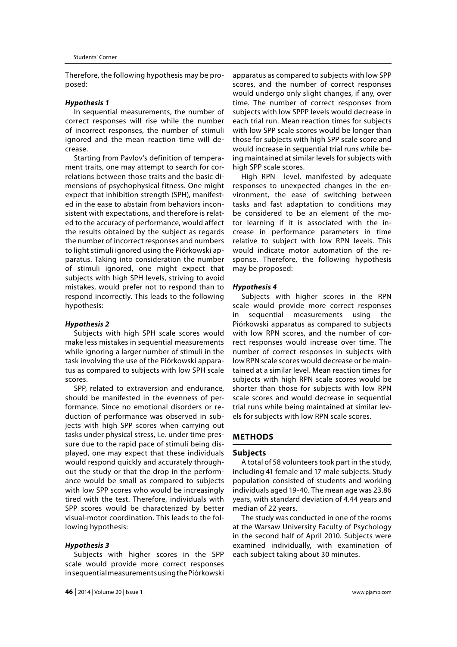Therefore, the following hypothesis may be proposed:

#### *Hypothesis 1*

In sequential measurements, the number of correct responses will rise while the number of incorrect responses, the number of stimuli ignored and the mean reaction time will decrease.

Starting from Pavlov's definition of temperament traits, one may attempt to search for correlations between those traits and the basic dimensions of psychophysical fitness. One might expect that inhibition strength (SPH), manifested in the ease to abstain from behaviors inconsistent with expectations, and therefore is related to the accuracy of performance, would affect the results obtained by the subject as regards the number of incorrect responses and numbers to light stimuli ignored using the Piórkowski apparatus. Taking into consideration the number of stimuli ignored, one might expect that subjects with high SPH levels, striving to avoid mistakes, would prefer not to respond than to respond incorrectly. This leads to the following hypothesis:

#### *Hypothesis 2*

Subjects with high SPH scale scores would make less mistakes in sequential measurements while ignoring a larger number of stimuli in the task involving the use of the Piórkowski apparatus as compared to subjects with low SPH scale scores.

SPP, related to extraversion and endurance, should be manifested in the evenness of performance. Since no emotional disorders or reduction of performance was observed in subjects with high SPP scores when carrying out tasks under physical stress, i.e. under time pressure due to the rapid pace of stimuli being displayed, one may expect that these individuals would respond quickly and accurately throughout the study or that the drop in the performance would be small as compared to subjects with low SPP scores who would be increasingly tired with the test. Therefore, individuals with SPP scores would be characterized by better visual-motor coordination. This leads to the following hypothesis:

#### *Hypothesis 3*

Subjects with higher scores in the SPP scale would provide more correct responses in sequential measurements using the Piórkowski

apparatus as compared to subjects with low SPP scores, and the number of correct responses would undergo only slight changes, if any, over time. The number of correct responses from subjects with low SPPP levels would decrease in each trial run. Mean reaction times for subjects with low SPP scale scores would be longer than those for subjects with high SPP scale score and would increase in sequential trial runs while being maintained at similar levels for subjects with high SPP scale scores.

High RPN level, manifested by adequate responses to unexpected changes in the environment, the ease of switching between tasks and fast adaptation to conditions may be considered to be an element of the motor learning if it is associated with the increase in performance parameters in time relative to subject with low RPN levels. This would indicate motor automation of the response. Therefore, the following hypothesis may be proposed:

#### *Hypothesis 4*

Subjects with higher scores in the RPN scale would provide more correct responses in sequential measurements using the Piórkowski apparatus as compared to subjects with low RPN scores, and the number of correct responses would increase over time. The number of correct responses in subjects with low RPN scale scores would decrease or be maintained at a similar level. Mean reaction times for subjects with high RPN scale scores would be shorter than those for subjects with low RPN scale scores and would decrease in sequential trial runs while being maintained at similar levels for subjects with low RPN scale scores.

# **METHODS**

#### **Subjects**

A total of 58 volunteers took part in the study, including 41 female and 17 male subjects. Study population consisted of students and working individuals aged 19-40. The mean age was 23.86 years, with standard deviation of 4.44 years and median of 22 years.

The study was conducted in one of the rooms at the Warsaw University Faculty of Psychology in the second half of April 2010. Subjects were examined individually, with examination of each subject taking about 30 minutes.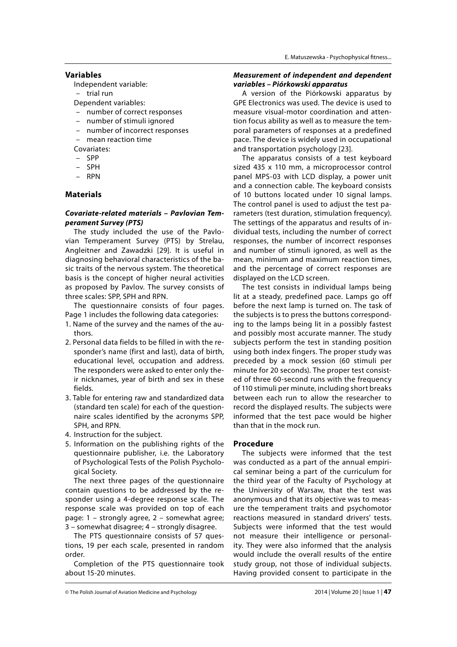## **Variables**

- Independent variable:
- trial run
- Dependent variables:
- number of correct responses
- number of stimuli ignored
- number of incorrect responses
- mean reaction time

Covariates:

- SPP
- SPH
- RPN

# **Materials**

# *Covariate-related materials – Pavlovian Temperament Survey (PTS)*

The study included the use of the Pavlovian Temperament Survey (PTS) by Strelau, Angleitner and Zawadzki [29]. It is useful in diagnosing behavioral characteristics of the basic traits of the nervous system. The theoretical basis is the concept of higher neural activities as proposed by Pavlov. The survey consists of three scales: SPP, SPH and RPN.

The questionnaire consists of four pages. Page 1 includes the following data categories:

- 1. Name of the survey and the names of the authors.
- 2. Personal data fields to be filled in with the responder's name (first and last), data of birth, educational level, occupation and address. The responders were asked to enter only their nicknames, year of birth and sex in these fields.
- 3. Table for entering raw and standardized data (standard ten scale) for each of the questionnaire scales identified by the acronyms SPP, SPH, and RPN.
- 4. Instruction for the subject.
- 5. Information on the publishing rights of the questionnaire publisher, i.e. the Laboratory of Psychological Tests of the Polish Psychological Society.

The next three pages of the questionnaire contain questions to be addressed by the responder using a 4-degree response scale. The response scale was provided on top of each page: 1 – strongly agree, 2 – somewhat agree; 3 – somewhat disagree; 4 – strongly disagree.

The PTS questionnaire consists of 57 questions, 19 per each scale, presented in random order.

Completion of the PTS questionnaire took about 15-20 minutes.

## *Measurement of independent and dependent variables – Piórkowski apparatus*

A version of the Piórkowski apparatus by GPE Electronics was used. The device is used to measure visual-motor coordination and attention focus ability as well as to measure the temporal parameters of responses at a predefined pace. The device is widely used in occupational and transportation psychology [23].

The apparatus consists of a test keyboard sized 435 x 110 mm, a microprocessor control panel MPS-03 with LCD display, a power unit and a connection cable. The keyboard consists of 10 buttons located under 10 signal lamps. The control panel is used to adjust the test parameters (test duration, stimulation frequency). The settings of the apparatus and results of individual tests, including the number of correct responses, the number of incorrect responses and number of stimuli ignored, as well as the mean, minimum and maximum reaction times, and the percentage of correct responses are displayed on the LCD screen.

The test consists in individual lamps being lit at a steady, predefined pace. Lamps go off before the next lamp is turned on. The task of the subjects is to press the buttons corresponding to the lamps being lit in a possibly fastest and possibly most accurate manner. The study subjects perform the test in standing position using both index fingers. The proper study was preceded by a mock session (60 stimuli per minute for 20 seconds). The proper test consisted of three 60-second runs with the frequency of 110 stimuli per minute, including short breaks between each run to allow the researcher to record the displayed results. The subjects were informed that the test pace would be higher than that in the mock run.

#### **Procedure**

The subjects were informed that the test was conducted as a part of the annual empirical seminar being a part of the curriculum for the third year of the Faculty of Psychology at the University of Warsaw, that the test was anonymous and that its objective was to measure the temperament traits and psychomotor reactions measured in standard drivers' tests. Subjects were informed that the test would not measure their intelligence or personality. They were also informed that the analysis would include the overall results of the entire study group, not those of individual subjects. Having provided consent to participate in the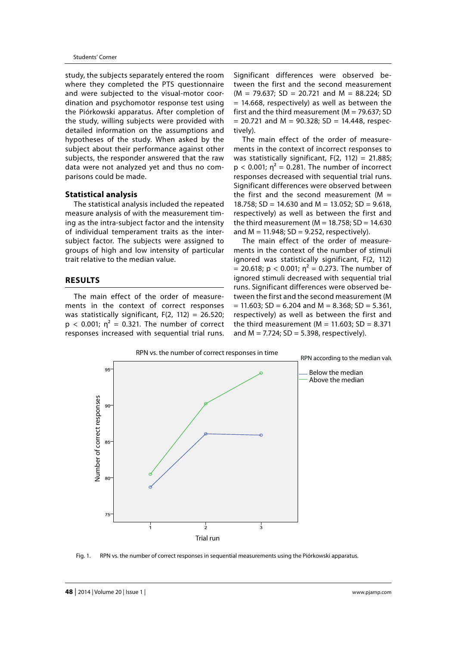study, the subjects separately entered the room where they completed the PTS questionnaire and were subjected to the visual-motor coordination and psychomotor response test using the Piórkowski apparatus. After completion of the study, willing subjects were provided with detailed information on the assumptions and hypotheses of the study. When asked by the subject about their performance against other subjects, the responder answered that the raw data were not analyzed yet and thus no comparisons could be made.

#### **Statistical analysis**

The statistical analysis included the repeated measure analysis of with the measurement timing as the intra-subject factor and the intensity of individual temperament traits as the intersubject factor. The subjects were assigned to groups of high and low intensity of particular trait relative to the median value.

#### **RESULTS**

The main effect of the order of measurements in the context of correct responses was statistically significant,  $F(2, 112) = 26.520$ ;  $p < 0.001$ ;  $\eta^2 = 0.321$ . The number of correct responses increased with sequential trial runs.

Significant differences were observed between the first and the second measurement  $(M = 79.637; SD = 20.721$  and  $M = 88.224; SD$  $= 14.668$ , respectively) as well as between the first and the third measurement ( $M = 79.637$ ; SD  $= 20.721$  and M = 90.328; SD = 14.448, respectively).

The main effect of the order of measurements in the context of incorrect responses to was statistically significant,  $F(2, 112) = 21.885$ ;  $p < 0.001$ ;  $\eta^2 = 0.281$ . The number of incorrect responses decreased with sequential trial runs. Significant differences were observed between the first and the second measurement ( $M =$ 18.758; SD = 14.630 and M = 13.052; SD = 9.618, respectively) as well as between the first and the third measurement ( $M = 18.758$ ; SD = 14.630 and  $M = 11.948$ ; SD = 9.252, respectively).

The main effect of the order of measurements in the context of the number of stimuli ignored was statistically significant, F(2, 112) = 20.618; p < 0.001;  $\eta^2$  = 0.273. The number of ignored stimuli decreased with sequential trial runs. Significant differences were observed between the first and the second measurement (M  $= 11.603$ ; SD = 6.204 and M = 8.368; SD = 5.361, respectively) as well as between the first and the third measurement ( $M = 11.603$ ; SD = 8.371 and  $M = 7.724$ ; SD = 5.398, respectively).



Fig. 1. RPN vs. the number of correct responses in sequential measurements using the Piórkowski apparatus.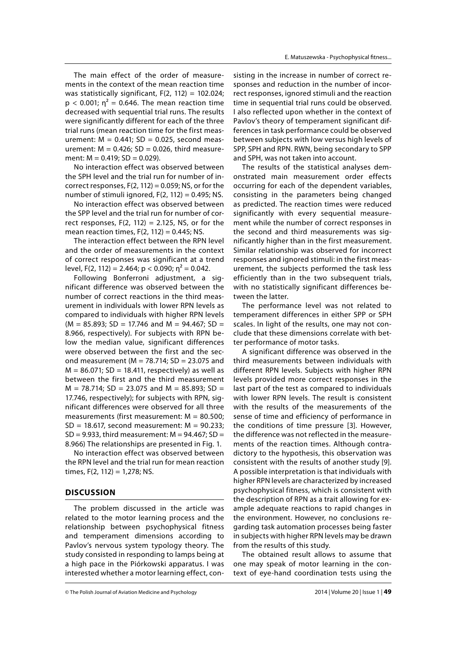The main effect of the order of measurements in the context of the mean reaction time was statistically significant,  $F(2, 112) = 102.024$ ;  $p < 0.001$ ;  $\eta^2 = 0.646$ . The mean reaction time decreased with sequential trial runs. The results were significantly different for each of the three trial runs (mean reaction time for the first measurement:  $M = 0.441$ ; SD = 0.025, second measurement:  $M = 0.426$ ; SD = 0.026, third measurement:  $M = 0.419$ ;  $SD = 0.029$ ).

No interaction effect was observed between the SPH level and the trial run for number of incorrect responses,  $F(2, 112) = 0.059$ ; NS, or for the number of stimuli ignored,  $F(2, 112) = 0.495$ ; NS.

No interaction effect was observed between the SPP level and the trial run for number of correct responses,  $F(2, 112) = 2.125$ , NS, or for the mean reaction times,  $F(2, 112) = 0.445$ ; NS.

The interaction effect between the RPN level and the order of measurements in the context of correct responses was significant at a trend level, F(2, 112) = 2.464; p < 0.090;  $n^2$  = 0.042.

Following Bonferroni adjustment, a significant difference was observed between the number of correct reactions in the third measurement in individuals with lower RPN levels as compared to individuals with higher RPN levels  $(M = 85.893; SD = 17.746$  and  $M = 94.467; SD =$ 8.966, respectively). For subjects with RPN below the median value, significant differences were observed between the first and the second measurement ( $M = 78.714$ ; SD = 23.075 and  $M = 86.071$ ; SD = 18.411, respectively) as well as between the first and the third measurement  $M = 78.714$ ; SD = 23.075 and M = 85.893; SD = 17.746, respectively); for subjects with RPN, significant differences were observed for all three measurements (first measurement:  $M = 80.500$ ;  $SD = 18.617$ , second measurement:  $M = 90.233$ ;  $SD = 9.933$ , third measurement:  $M = 94.467$ ;  $SD =$ 8.966) The relationships are presented in Fig. 1.

No interaction effect was observed between the RPN level and the trial run for mean reaction times, F(2, 112) = 1,278; NS.

### **DISCUSSION**

The problem discussed in the article was related to the motor learning process and the relationship between psychophysical fitness and temperament dimensions according to Pavlov's nervous system typology theory. The study consisted in responding to lamps being at a high pace in the Piórkowski apparatus. I was interested whether a motor learning effect, consisting in the increase in number of correct responses and reduction in the number of incorrect responses, ignored stimuli and the reaction time in sequential trial runs could be observed. I also reflected upon whether in the context of Pavlov's theory of temperament significant differences in task performance could be observed between subjects with low versus high levels of SPP, SPH and RPN. RWN, being secondary to SPP and SPH, was not taken into account.

The results of the statistical analyses demonstrated main measurement order effects occurring for each of the dependent variables, consisting in the parameters being changed as predicted. The reaction times were reduced significantly with every sequential measurement while the number of correct responses in the second and third measurements was significantly higher than in the first measurement. Similar relationship was observed for incorrect responses and ignored stimuli: in the first measurement, the subjects performed the task less efficiently than in the two subsequent trials, with no statistically significant differences between the latter.

The performance level was not related to temperament differences in either SPP or SPH scales. In light of the results, one may not conclude that these dimensions correlate with better performance of motor tasks.

A significant difference was observed in the third measurements between individuals with different RPN levels. Subjects with higher RPN levels provided more correct responses in the last part of the test as compared to individuals with lower RPN levels. The result is consistent with the results of the measurements of the sense of time and efficiency of performance in the conditions of time pressure [3]. However, the difference was not reflected in the measurements of the reaction times. Although contradictory to the hypothesis, this observation was consistent with the results of another study [9]. A possible interpretation is that individuals with higher RPN levels are characterized by increased psychophysical fitness, which is consistent with the description of RPN as a trait allowing for example adequate reactions to rapid changes in the environment. However, no conclusions regarding task automation processes being faster in subjects with higher RPN levels may be drawn from the results of this study.

The obtained result allows to assume that one may speak of motor learning in the context of eye-hand coordination tests using the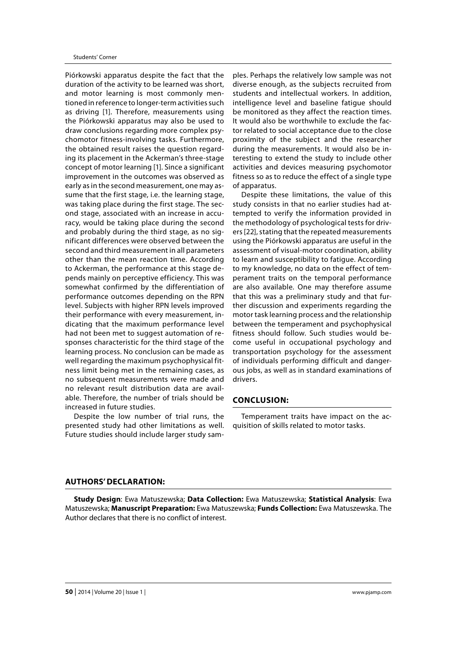Piórkowski apparatus despite the fact that the duration of the activity to be learned was short, and motor learning is most commonly mentioned in reference to longer-term activities such as driving [1]. Therefore, measurements using the Piórkowski apparatus may also be used to draw conclusions regarding more complex psychomotor fitness-involving tasks. Furthermore, the obtained result raises the question regarding its placement in the Ackerman's three-stage concept of motor learning [1]. Since a significant improvement in the outcomes was observed as early as in the second measurement, one may assume that the first stage, i.e. the learning stage, was taking place during the first stage. The second stage, associated with an increase in accuracy, would be taking place during the second and probably during the third stage, as no significant differences were observed between the second and third measurement in all parameters other than the mean reaction time. According to Ackerman, the performance at this stage depends mainly on perceptive efficiency. This was somewhat confirmed by the differentiation of performance outcomes depending on the RPN level. Subjects with higher RPN levels improved their performance with every measurement, indicating that the maximum performance level had not been met to suggest automation of responses characteristic for the third stage of the learning process. No conclusion can be made as well regarding the maximum psychophysical fitness limit being met in the remaining cases, as no subsequent measurements were made and no relevant result distribution data are available. Therefore, the number of trials should be increased in future studies.

Despite the low number of trial runs, the presented study had other limitations as well. Future studies should include larger study sam-

ples. Perhaps the relatively low sample was not diverse enough, as the subjects recruited from students and intellectual workers. In addition, intelligence level and baseline fatigue should be monitored as they affect the reaction times. It would also be worthwhile to exclude the factor related to social acceptance due to the close proximity of the subject and the researcher during the measurements. It would also be interesting to extend the study to include other activities and devices measuring psychomotor fitness so as to reduce the effect of a single type of apparatus.

Despite these limitations, the value of this study consists in that no earlier studies had attempted to verify the information provided in the methodology of psychological tests for drivers [22], stating that the repeated measurements using the Piórkowski apparatus are useful in the assessment of visual-motor coordination, ability to learn and susceptibility to fatigue. According to my knowledge, no data on the effect of temperament traits on the temporal performance are also available. One may therefore assume that this was a preliminary study and that further discussion and experiments regarding the motor task learning process and the relationship between the temperament and psychophysical fitness should follow. Such studies would become useful in occupational psychology and transportation psychology for the assessment of individuals performing difficult and dangerous jobs, as well as in standard examinations of drivers.

# **CONCLUSION:**

Temperament traits have impact on the acquisition of skills related to motor tasks.

#### **AUTHORS' DECLARATION:**

**Study Design**: Ewa Matuszewska; **Data Collection:** Ewa Matuszewska; **Statistical Analysis**: Ewa Matuszewska; **Manuscript Preparation:** Ewa Matuszewska; **Funds Collection:** Ewa Matuszewska. The Author declares that there is no conflict of interest.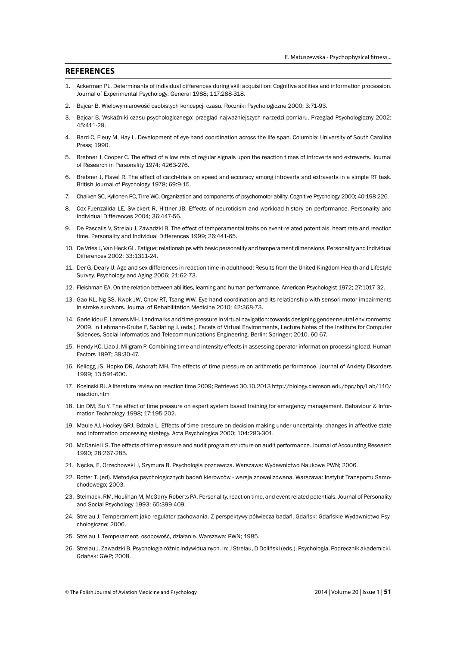#### **REFERENCES**

- 1. Ackerman PL. Determinants of individual differences during skill acquisition: Cognitive abilities and information procession. Journal of Experimental Psychology: General 1988; 117:288-318.
- 2. Bajcar B. Wielowymiarowość osobistych koncepcji czasu. Roczniki Psychologiczne 2000; 3:71-93.
- 3. Bajcar B. Wskaźniki czasu psychologicznego: przegląd najważniejszych narzędzi pomiaru. Przegląd Psychologiczny 2002; 45:411-29.
- 4. Bard C, Fleuy M, Hay L. Development of eye-hand coordination across the life span. Columbia: University of South Carolina Press; 1990.
- 5. Brebner J, Cooper C. The effect of a low rate of regular signals upon the reaction times of introverts and extraverts. Journal of Research in Personality 1974; 4263-276.
- 6. Brebner J, Flavel R. The effect of catch-trials on speed and accuracy among introverts and extraverts in a simple RT task. British Journal of Psychology 1978; 69:9-15.
- 7. Chaiken SC, Kyllonen PC, Tirre WC. Organization and components of psychomotor ability. Cognitive Psychology 2000; 40:198-226.
- 8. Cox-Fuenzalida LE, Swickert R, Hittner JB. Effects of neuroticism and workload history on performance. Personality and Individual Differences 2004; 36:447-56.
- 9. De Pascalis V, Strelau J, Zawadzki B. The effect of temperamental traits on event-related potentials, heart rate and reaction time. Personality and Individual Differences 1999; 26:441-65.
- 10. De Vries J, Van Heck GL. Fatigue: relationships with basic personality and temperament dimensions. Personality and Individual Differences 2002; 33:1311-24.
- 11. Der G, Deary IJ. Age and sex differences in reaction time in adulthood: Results from the United Kingdom Health and Lifestyle Survey. Psychology and Aging 2006; 21:62-73.
- 12. Fleishman EA. On the relation between abilities, learning and human performance. American Psychologist 1972; 27:1017-32.
- 13. Gao KL, Ng SS, Kwok JW, Chow RT, Tsang WW. Eye-hand coordination and its relationship with sensori-motor impairments in stroke survivors. Journal of Rehabilitation Medicine 2010; 42:368-73.
- 14. Garielidou E, Lamers MH. Landmarks and time-pressure in virtual navigation: towards designing gender-neutral environments; 2009. In Lehmann-Grube F, Sablating J. (eds.). Facets of Virtual Environments, Lecture Notes of the Institute for Computer Sciences, Social Informatics and Telecommunications Engineering. Berlin: Springer; 2010. 60-67.
- 15. Hendy KC, Liao J, Milgram P. Combining time and intensity effects in assessing operator information-processing load. Human Factors 1997; 39:30-47.
- 16. Kellogg JS, Hopko DR, Ashcraft MH. The effects of time pressure on arithmetic performance. Journal of Anxiety Disorders 1999; 13:591-600.
- 17. Kosinski RJ. A literature review on reaction time 2009; Retrieved 30.10.2013 http://biology.clemson.edu/bpc/bp/Lab/110/ reaction.htm
- 18. Lin DM, Su Y. The effect of time pressure on expert system based training for emergency management. Behaviour & Information Technology 1998; 17:195-202.
- 19. Maule AJ, Hockey GRJ, Bdzola L. Effects of time-pressure on decision-making under uncertainty: changes in affective state and information processing strategy. Acta Psychologica 2000; 104:283-301.
- 20. McDaniel LS. The effects of time pressure and audit program structure on audit performance. Journal of Accounting Research 1990; 28:267-285.
- 21. Nęcka, E, Orzechowski J, Szymura B. Psychologia poznawcza. Warszawa: Wydawnictwo Naukowe PWN; 2006.
- 22. Rotter T. (ed). Metodyka psychologicznych badań kierowców wersja znowelizowana. Warszawa: Instytut Transportu Samochodowego; 2003.
- 23. Stelmack, RM, Houlihan M, McGarry-Roberts PA. Personality, reaction time, and event related potentials. Journal of Personality and Social Psychology 1993; 65:399-409.
- 24. Strelau J. Temperament jako regulator zachowania. Z perspektywy półwiecza badań. Gdańsk: Gdańskie Wydawnictwo Psychologiczne; 2006.
- 25. Strelau J. Temperament, osobowość, działanie. Warszawa: PWN; 1985.
- 26. Strelau J. Zawadzki B. Psychologia różnic indywidualnych. In: J Strelau, D Doliński (eds.), Psychologia. Podręcznik akademicki. Gdańsk: GWP; 2008.